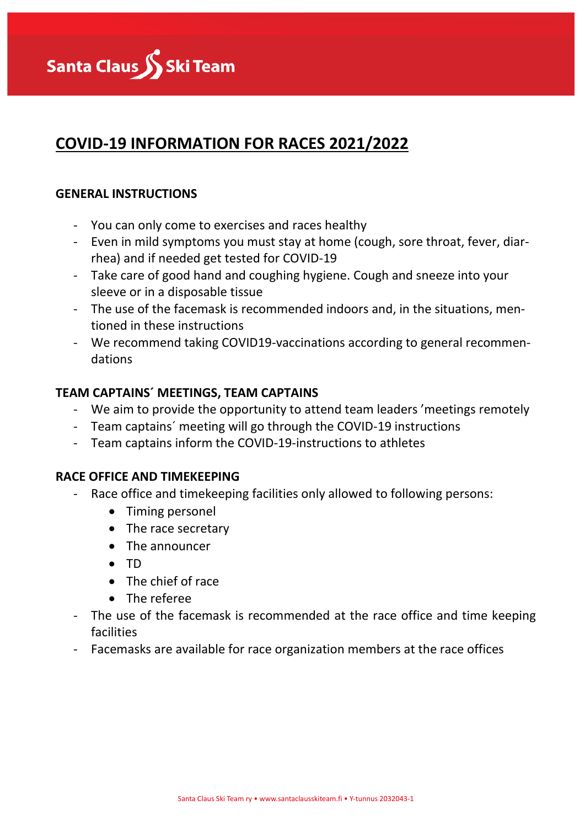

# **COVID-19 INFORMATION FOR RACES 2021/2022**

## **GENERAL INSTRUCTIONS**

- You can only come to exercises and races healthy
- Even in mild symptoms you must stay at home (cough, sore throat, fever, diarrhea) and if needed get tested for COVID-19
- Take care of good hand and coughing hygiene. Cough and sneeze into your sleeve or in a disposable tissue
- The use of the facemask is recommended indoors and, in the situations, mentioned in these instructions
- We recommend taking COVID19-vaccinations according to general recommendations

# **TEAM CAPTAINS´ MEETINGS, TEAM CAPTAINS**

- We aim to provide the opportunity to attend team leaders 'meetings remotely
- Team captains´ meeting will go through the COVID-19 instructions
- Team captains inform the COVID-19-instructions to athletes

# **RACE OFFICE AND TIMEKEEPING**

- Race office and timekeeping facilities only allowed to following persons:
	- Timing personel
	- The race secretary
	- The announcer
	- TD
	- The chief of race
	- The referee
- The use of the facemask is recommended at the race office and time keeping facilities
- Facemasks are available for race organization members at the race offices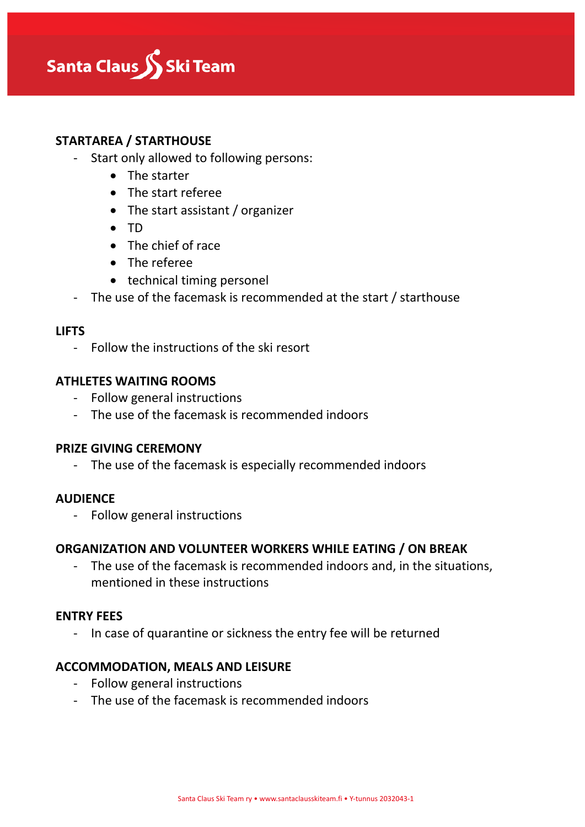

## **STARTAREA / STARTHOUSE**

- Start only allowed to following persons:
	- The starter
	- The start referee
	- The start assistant / organizer
	- TD
	- The chief of race
	- The referee
	- technical timing personel
- The use of the facemask is recommended at the start / starthouse

#### **LIFTS**

- Follow the instructions of the ski resort

#### **ATHLETES WAITING ROOMS**

- Follow general instructions
- The use of the facemask is recommended indoors

#### **PRIZE GIVING CEREMONY**

- The use of the facemask is especially recommended indoors

#### **AUDIENCE**

- Follow general instructions

#### **ORGANIZATION AND VOLUNTEER WORKERS WHILE EATING / ON BREAK**

- The use of the facemask is recommended indoors and, in the situations, mentioned in these instructions

#### **ENTRY FEES**

- In case of quarantine or sickness the entry fee will be returned

#### **ACCOMMODATION, MEALS AND LEISURE**

- Follow general instructions
- The use of the facemask is recommended indoors